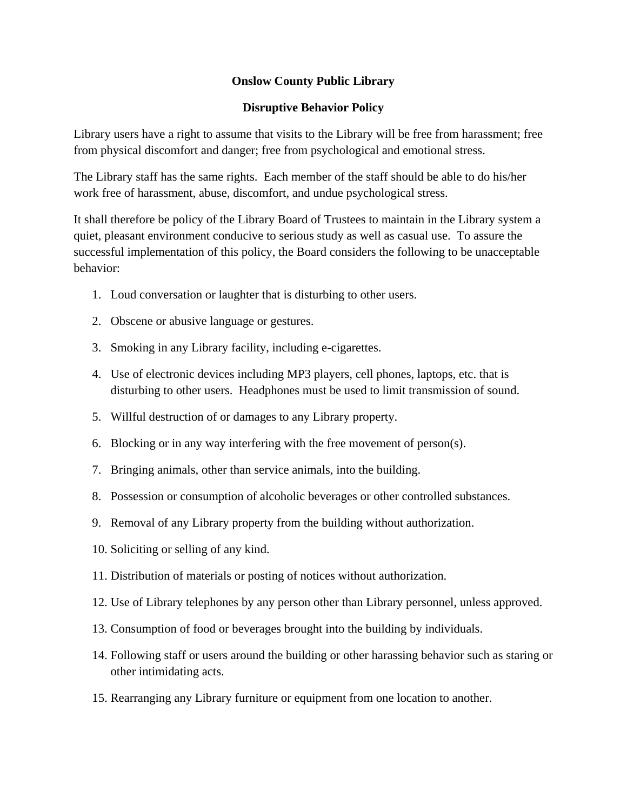## **Onslow County Public Library**

## **Disruptive Behavior Policy**

Library users have a right to assume that visits to the Library will be free from harassment; free from physical discomfort and danger; free from psychological and emotional stress.

The Library staff has the same rights. Each member of the staff should be able to do his/her work free of harassment, abuse, discomfort, and undue psychological stress.

It shall therefore be policy of the Library Board of Trustees to maintain in the Library system a quiet, pleasant environment conducive to serious study as well as casual use. To assure the successful implementation of this policy, the Board considers the following to be unacceptable behavior:

- 1. Loud conversation or laughter that is disturbing to other users.
- 2. Obscene or abusive language or gestures.
- 3. Smoking in any Library facility, including e-cigarettes.
- 4. Use of electronic devices including MP3 players, cell phones, laptops, etc. that is disturbing to other users. Headphones must be used to limit transmission of sound.
- 5. Willful destruction of or damages to any Library property.
- 6. Blocking or in any way interfering with the free movement of person(s).
- 7. Bringing animals, other than service animals, into the building.
- 8. Possession or consumption of alcoholic beverages or other controlled substances.
- 9. Removal of any Library property from the building without authorization.
- 10. Soliciting or selling of any kind.
- 11. Distribution of materials or posting of notices without authorization.
- 12. Use of Library telephones by any person other than Library personnel, unless approved.
- 13. Consumption of food or beverages brought into the building by individuals.
- 14. Following staff or users around the building or other harassing behavior such as staring or other intimidating acts.
- 15. Rearranging any Library furniture or equipment from one location to another.